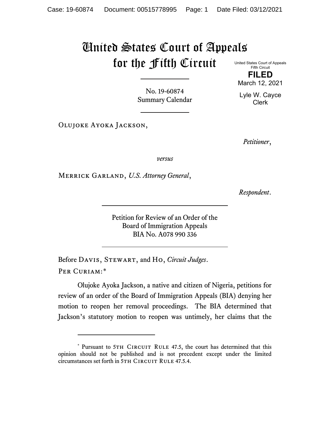## United States Court of Appeals for the Fifth Circuit United States Court of Appeals

Fifth Circuit **FILED**

No. 19-60874 Summary Calendar

Lyle W. Cayce Clerk

March 12, 2021

Olujoke Ayoka Jackson,

*Petitioner*,

*versus*

Merrick Garland, *U.S. Attorney General*,

*Respondent*.

Petition for Review of an Order of the Board of Immigration Appeals BIA No. A078 990 336

Before Davis, Stewart, and Ho, *Circuit Judges*. Per Curiam:[\\*](#page-0-0)

Olujoke Ayoka Jackson, a native and citizen of Nigeria, petitions for review of an order of the Board of Immigration Appeals (BIA) denying her motion to reopen her removal proceedings. The BIA determined that Jackson's statutory motion to reopen was untimely, her claims that the

<span id="page-0-0"></span><sup>\*</sup> Pursuant to 5TH CIRCUIT RULE 47.5, the court has determined that this opinion should not be published and is not precedent except under the limited circumstances set forth in 5TH CIRCUIT RULE 47.5.4.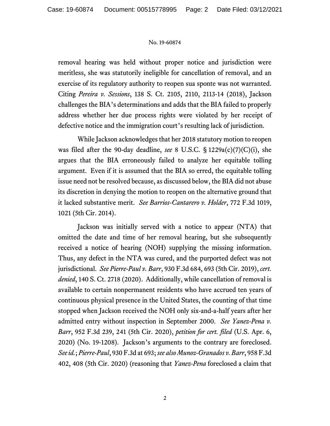## No. 19-60874

removal hearing was held without proper notice and jurisdiction were meritless, she was statutorily ineligible for cancellation of removal, and an exercise of its regulatory authority to reopen sua sponte was not warranted. Citing *Pereira v. Sessions*, 138 S. Ct. 2105, 2110, 2113-14 (2018), Jackson challenges the BIA's determinations and adds that the BIA failed to properly address whether her due process rights were violated by her receipt of defective notice and the immigration court's resulting lack of jurisdiction.

While Jackson acknowledges that her 2018 statutory motion to reopen was filed after the 90-day deadline, *see* 8 U.S.C. § 1229a(c)(7)(C)(i), she argues that the BIA erroneously failed to analyze her equitable tolling argument. Even if it is assumed that the BIA so erred, the equitable tolling issue need not be resolved because, as discussed below, the BIA did not abuse its discretion in denying the motion to reopen on the alternative ground that it lacked substantive merit. *See Barrios-Cantarero v. Holder*, 772 F.3d 1019, 1021 (5th Cir. 2014).

Jackson was initially served with a notice to appear (NTA) that omitted the date and time of her removal hearing, but she subsequently received a notice of hearing (NOH) supplying the missing information. Thus, any defect in the NTA was cured, and the purported defect was not jurisdictional. *See Pierre-Paul v. Barr*, 930 F.3d 684, 693 (5th Cir. 2019), *cert. denied*, 140 S. Ct. 2718 (2020). Additionally, while cancellation of removal is available to certain nonpermanent residents who have accrued ten years of continuous physical presence in the United States, the counting of that time stopped when Jackson received the NOH only six-and-a-half years after her admitted entry without inspection in September 2000. *See Yanez-Pena v. Barr*, 952 F.3d 239, 241 (5th Cir. 2020), *petition for cert. filed* (U.S. Apr. 6, 2020) (No. 19-1208). Jackson's arguments to the contrary are foreclosed. *See id.*; *Pierre-Paul*, 930 F.3d at 693;*see also Munoz-Granados v. Barr*, 958 F.3d 402, 408 (5th Cir. 2020) (reasoning that *Yanez-Pena* foreclosed a claim that